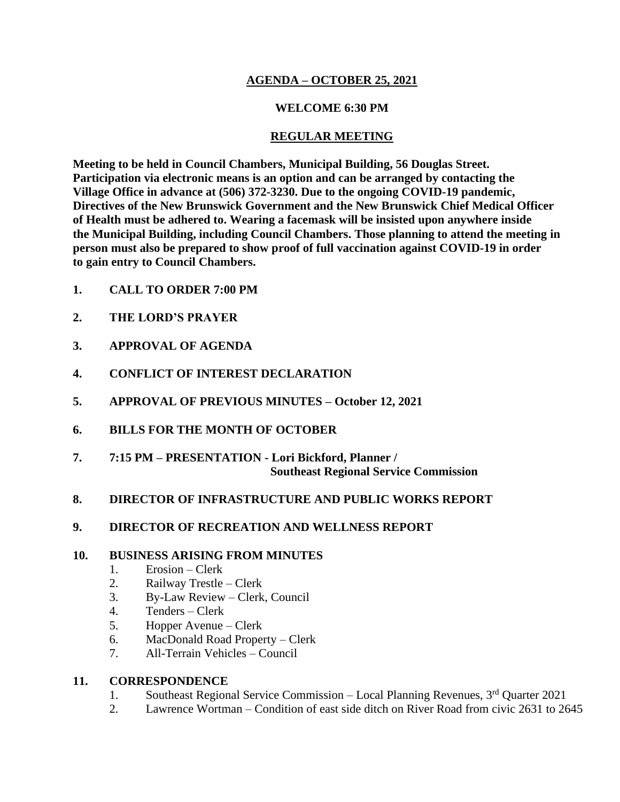### **AGENDA – OCTOBER 25, 2021**

### **WELCOME 6:30 PM**

### **REGULAR MEETING**

**Meeting to be held in Council Chambers, Municipal Building, 56 Douglas Street. Participation via electronic means is an option and can be arranged by contacting the Village Office in advance at (506) 372-3230. Due to the ongoing COVID-19 pandemic, Directives of the New Brunswick Government and the New Brunswick Chief Medical Officer of Health must be adhered to. Wearing a facemask will be insisted upon anywhere inside the Municipal Building, including Council Chambers. Those planning to attend the meeting in person must also be prepared to show proof of full vaccination against COVID-19 in order to gain entry to Council Chambers.**

- **1. CALL TO ORDER 7:00 PM**
- **2. THE LORD'S PRAYER**
- **3. APPROVAL OF AGENDA**
- **4. CONFLICT OF INTEREST DECLARATION**
- **5. APPROVAL OF PREVIOUS MINUTES – October 12, 2021**
- **6. BILLS FOR THE MONTH OF OCTOBER**
- **7. 7:15 PM – PRESENTATION - Lori Bickford, Planner / Southeast Regional Service Commission**

### **8. DIRECTOR OF INFRASTRUCTURE AND PUBLIC WORKS REPORT**

**9. DIRECTOR OF RECREATION AND WELLNESS REPORT**

### **10. BUSINESS ARISING FROM MINUTES**

- 1. Erosion Clerk
- 2. Railway Trestle Clerk
- 3. By-Law Review Clerk, Council
- 4. Tenders Clerk
- 5. Hopper Avenue Clerk
- 6. MacDonald Road Property Clerk
- 7. All-Terrain Vehicles Council

### **11. CORRESPONDENCE**

- 1. Southeast Regional Service Commission Local Planning Revenues, 3rd Quarter 2021
- 2. Lawrence Wortman Condition of east side ditch on River Road from civic 2631 to 2645